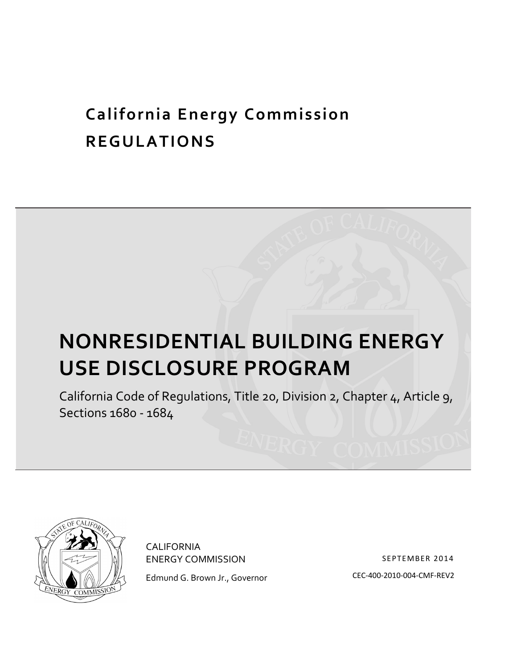## **California)Energy)Commission REGULATIONS**

# **NONRESIDENTIAL)BUILDING)ENERGY) USE DISCLOSURE PROGRAM**

California Code of Regulations, Title 20, Division 2, Chapter 4, Article 9, Sections 1680 - 1684



CALIFORNIA **ENERGY COMMISSION** Edmund G. Brown Jr., Governor

 SEPTEMBER 2014 CEC,400-2010-004-CMF-REV2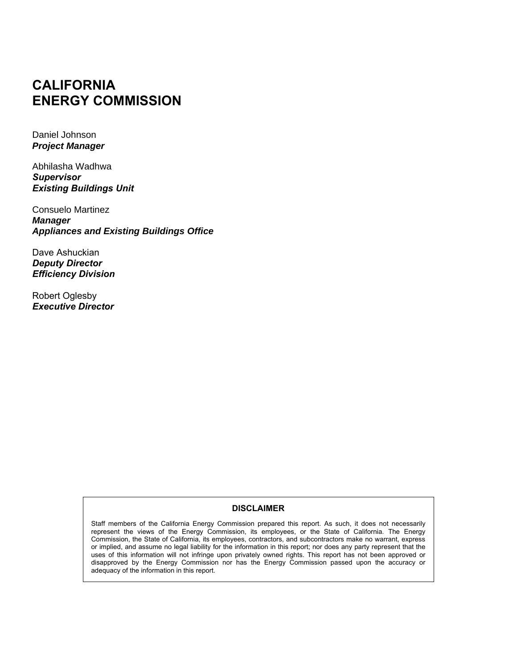### **CALIFORNIA ENERGY COMMISSION**

Daniel Johnson *Project Manager*

Abhilasha Wadhwa *Supervisor Existing Buildings Unit*

Consuelo Martinez *Manager Appliances and Existing Buildings Office*

Dave Ashuckian *Deputy Director Efficiency Division*

Robert Oglesby *Executive Director*

#### **DISCLAIMER**

Staff members of the California Energy Commission prepared this report. As such, it does not necessarily represent the views of the Energy Commission, its employees, or the State of California. The Energy Commission, the State of California, its employees, contractors, and subcontractors make no warrant, express or implied, and assume no legal liability for the information in this report; nor does any party represent that the uses of this information will not infringe upon privately owned rights. This report has not been approved or disapproved by the Energy Commission nor has the Energy Commission passed upon the accuracy or adequacy of the information in this report.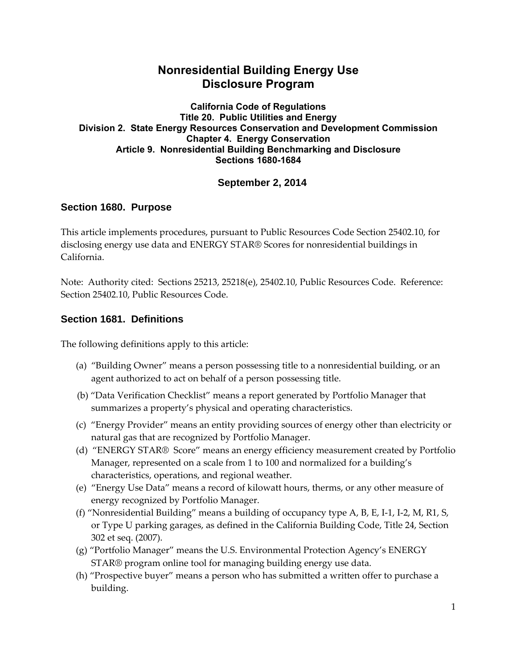#### **Nonresidential Building Energy Use Disclosure Program**

**California Code of Regulations Title 20. Public Utilities and Energy Division 2. State Energy Resources Conservation and Development Commission Chapter 4. Energy Conservation Article 9. Nonresidential Building Benchmarking and Disclosure Sections 1680-1684**

#### **September 2, 2014**

#### **Section 1680. Purpose**

This article implements procedures, pursuant to Public Resources Code Section 25402.10, for disclosing energy use data and ENERGY STAR® Scores for nonresidential buildings in California.

Note: Authority cited: Sections 25213, 25218(e), 25402.10, Public Resources Code. Reference: Section 25402.10, Public Resources Code.

#### **Section 1681. Definitions**

The following definitions apply to this article:

- (a) "Building Owner" means a person possessing title to a nonresidential building, or an agent authorized to act on behalf of a person possessing title.
- (b) "Data Verification Checklist" means a report generated by Portfolio Manager that summarizes a property's physical and operating characteristics.
- (c) "Energy Provider" means an entity providing sources of energy other than electricity or natural gas that are recognized by Portfolio Manager.
- (d) "ENERGY STAR® Score" means an energy efficiency measurement created by Portfolio Manager, represented on a scale from 1 to 100 and normalized for a building's characteristics, operations, and regional weather.
- (e) "Energy Use Data" means a record of kilowatt hours, therms, or any other measure of energy recognized by Portfolio Manager.
- (f) "Nonresidential Building" means a building of occupancy type  $A$ ,  $B$ ,  $E$ ,  $I$ -1,  $I$ -2,  $M$ ,  $R1$ ,  $S$ , or Type U parking garages, as defined in the California Building Code, Title 24, Section 302 et seq. (2007).
- (g) "Portfolio Manager" means the U.S. Environmental Protection Agency's ENERGY STAR® program online tool for managing building energy use data.
- (h) "Prospective buyer" means a person who has submitted a written offer to purchase a building.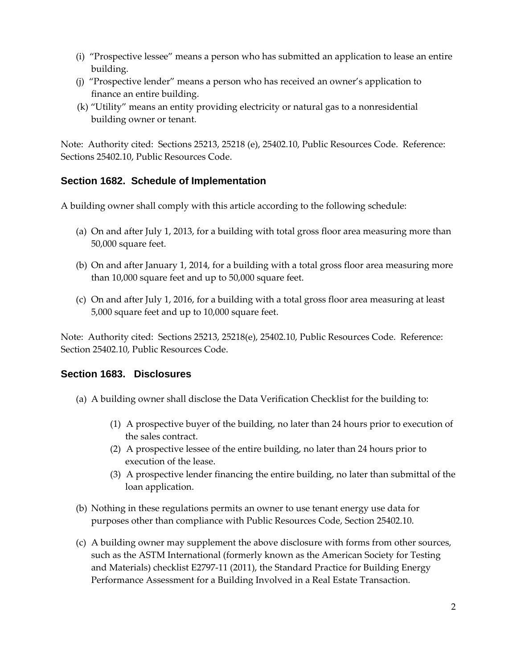- (i) "Prospective lessee" means a person who has submitted an application to lease an entire building.
- (j) "Prospective lender" means a person who has received an owner's application to finance an entire building.
- (k) "Utility" means an entity providing electricity or natural gas to a nonresidential building owner or tenant.

Note: Authority cited: Sections 25213, 25218 (e), 25402.10, Public Resources Code. Reference: Sections 25402.10, Public Resources Code.

#### **Section 1682. Schedule of Implementation**

A building owner shall comply with this article according to the following schedule:

- (a) On and after July 1, 2013, for a building with total gross floor area measuring more than 50,000 square feet.
- (b) On and after January 1, 2014, for a building with a total gross floor area measuring more than  $10,000$  square feet and up to  $50,000$  square feet.
- (c) On and after July 1, 2016, for a building with a total gross floor area measuring at least 5,000 square feet and up to 10,000 square feet.

Note: Authority cited: Sections 25213, 25218(e), 25402.10, Public Resources Code. Reference: Section 25402.10, Public Resources Code.

#### **Section 1683. Disclosures**

- (a) A building owner shall disclose the Data Verification Checklist for the building to:
	- (1) A prospective buyer of the building, no later than 24 hours prior to execution of the sales contract.
	- (2)  $\Delta$  prospective lessee of the entire building, no later than 24 hours prior to execution of the lease.
	- (3) A prospective lender financing the entire building, no later than submittal of the loan application.
- (b) Nothing in these regulations permits an owner to use tenant energy use data for purposes other than compliance with Public Resources Code, Section 25402.10.
- (c) A building owner may supplement the above disclosure with forms from other sources, such as the ASTM International (formerly known as the American Society for Testing and Materials) checklist E2797-11 (2011), the Standard Practice for Building Energy Performance Assessment for a Building Involved in a Real Estate Transaction.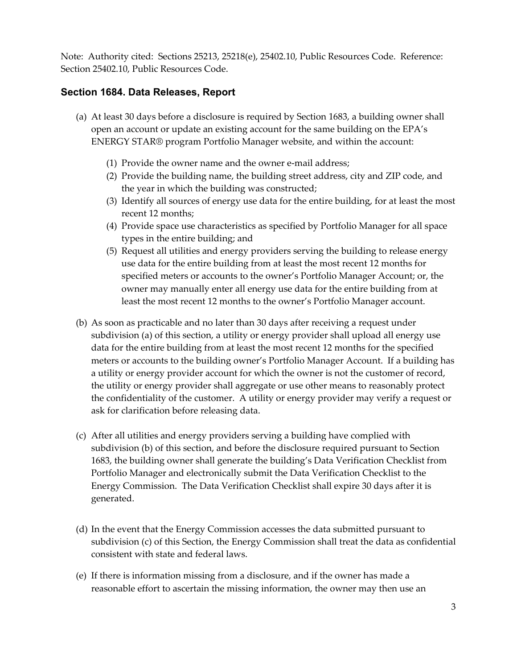Note: Authority cited: Sections 25213, 25218(e), 25402.10, Public Resources Code. Reference: Section 25402.10, Public Resources Code.

#### **Section 1684. Data Releases, Report**

- (a) At least 30 days before a disclosure is required by Section 1683, a building owner shall open an account or update an existing account for the same building on the EPA's ENERGY STAR® program Portfolio Manager website, and within the account:
	- (1) Provide the owner name and the owner e-mail address;
	- (2) Provide the building name, the building street address, city and ZIP code, and the year in which the building was constructed;
	- (3) Identify all sources of energy use data for the entire building, for at least the most recent 12 months;
	- (4) Provide space use characteristics as specified by Portfolio Manager for all space types in the entire building; and
	- (5) Request all utilities and energy providers serving the building to release energy use data for the entire building from at least the most recent 12 months for specified meters or accounts to the owner's Portfolio Manager Account; or, the owner may manually enter all energy use data for the entire building from at least the most recent 12 months to the owner's Portfolio Manager account.
- (b) As soon as practicable and no later than 30 days after receiving a request under subdivision (a) of this section, a utility or energy provider shall upload all energy use data for the entire building from at least the most recent 12 months for the specified meters or accounts to the building owner's Portfolio Manager Account. If a building has a utility or energy provider account for which the owner is not the customer of record, the utility or energy provider shall aggregate or use other means to reasonably protect the confidentiality of the customer. A utility or energy provider may verify a request or ask for clarification before releasing data.
- (c) After all utilities and energy providers serving a building have complied with subdivision (b) of this section, and before the disclosure required pursuant to Section 1683, the building owner shall generate the building's Data Verification Checklist from Portfolio Manager and electronically submit the Data Verification Checklist to the Energy Commission. The Data Verification Checklist shall expire 30 days after it is generated.
- (d) In the event that the Energy Commission accesses the data submitted pursuant to subdivision (c) of this Section, the Energy Commission shall treat the data as confidential consistent with state and federal laws.
- (e) If there is information missing from a disclosure, and if the owner has made a reasonable effort to ascertain the missing information, the owner may then use an